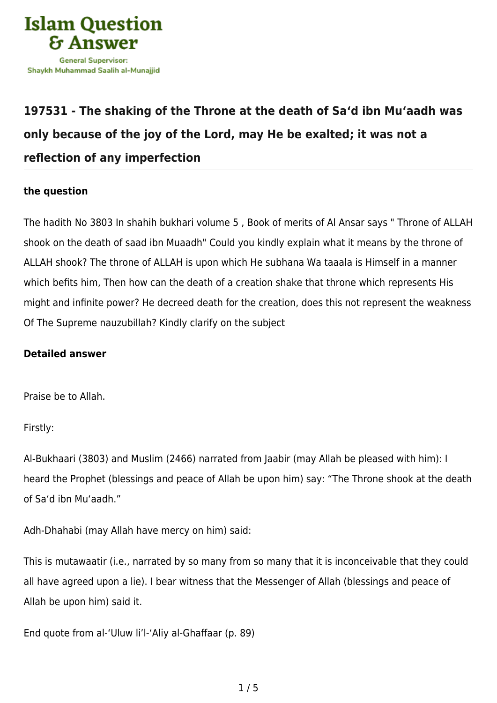

## **[197531 - The shaking of the Throne at the death of Sa'd ibn Mu'aadh was](https://islamqa.com/en/answers/197531/the-shaking-of-the-throne-at-the-death-of-sad-ibn-muaadh-was-only-because-of-the-joy-of-the-lord-may-he-be-exalted-it-was-not-a-reflection-of-any-imperfection) [only because of the joy of the Lord, may He be exalted; it was not a](https://islamqa.com/en/answers/197531/the-shaking-of-the-throne-at-the-death-of-sad-ibn-muaadh-was-only-because-of-the-joy-of-the-lord-may-he-be-exalted-it-was-not-a-reflection-of-any-imperfection) [reflection of any imperfection](https://islamqa.com/en/answers/197531/the-shaking-of-the-throne-at-the-death-of-sad-ibn-muaadh-was-only-because-of-the-joy-of-the-lord-may-he-be-exalted-it-was-not-a-reflection-of-any-imperfection)**

## **the question**

The hadith No 3803 In shahih bukhari volume 5 , Book of merits of Al Ansar says " Throne of ALLAH shook on the death of saad ibn Muaadh" Could you kindly explain what it means by the throne of ALLAH shook? The throne of ALLAH is upon which He subhana Wa taaala is Himself in a manner which befits him, Then how can the death of a creation shake that throne which represents His might and infinite power? He decreed death for the creation, does this not represent the weakness Of The Supreme nauzubillah? Kindly clarify on the subject

## **Detailed answer**

Praise be to Allah.

Firstly:

Al-Bukhaari (3803) and Muslim (2466) narrated from Jaabir (may Allah be pleased with him): I heard the Prophet (blessings and peace of Allah be upon him) say: "The Throne shook at the death of Sa'd ibn Mu'aadh."

Adh-Dhahabi (may Allah have mercy on him) said:

This is mutawaatir (i.e., narrated by so many from so many that it is inconceivable that they could all have agreed upon a lie). I bear witness that the Messenger of Allah (blessings and peace of Allah be upon him) said it.

End quote from al-'Uluw li'l-'Aliy al-Ghaffaar (p. 89)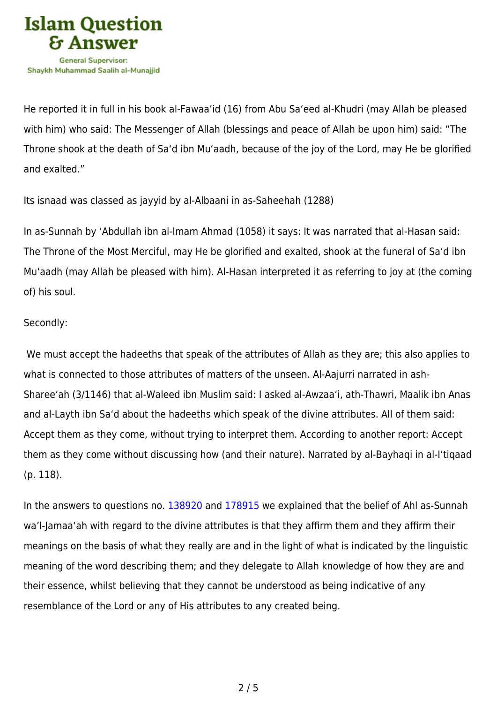

He reported it in full in his book al-Fawaa'id (16) from Abu Sa'eed al-Khudri (may Allah be pleased with him) who said: The Messenger of Allah (blessings and peace of Allah be upon him) said: "The Throne shook at the death of Sa'd ibn Mu'aadh, because of the joy of the Lord, may He be glorified and exalted."

Its isnaad was classed as jayyid by al-Albaani in as-Saheehah (1288)

In as-Sunnah by 'Abdullah ibn al-Imam Ahmad (1058) it says: It was narrated that al-Hasan said: The Throne of the Most Merciful, may He be glorified and exalted, shook at the funeral of Sa'd ibn Mu'aadh (may Allah be pleased with him). Al-Hasan interpreted it as referring to joy at (the coming of) his soul.

## Secondly:

 We must accept the hadeeths that speak of the attributes of Allah as they are; this also applies to what is connected to those attributes of matters of the unseen. Al-Aajurri narrated in ash-Sharee'ah (3/1146) that al-Waleed ibn Muslim said: I asked al-Awzaa'i, ath-Thawri, Maalik ibn Anas and al-Layth ibn Sa'd about the hadeeths which speak of the divine attributes. All of them said: Accept them as they come, without trying to interpret them. According to another report: Accept them as they come without discussing how (and their nature). Narrated by al-Bayhaqi in al-I'tiqaad (p. 118).

In the answers to questions no. [138920](https://islamqa.com/en/answers/138920) and [178915](https://islamqa.com/ar/answers/) we explained that the belief of Ahl as-Sunnah wa'l-Jamaa'ah with regard to the divine attributes is that they affirm them and they affirm their meanings on the basis of what they really are and in the light of what is indicated by the linguistic meaning of the word describing them; and they delegate to Allah knowledge of how they are and their essence, whilst believing that they cannot be understood as being indicative of any resemblance of the Lord or any of His attributes to any created being.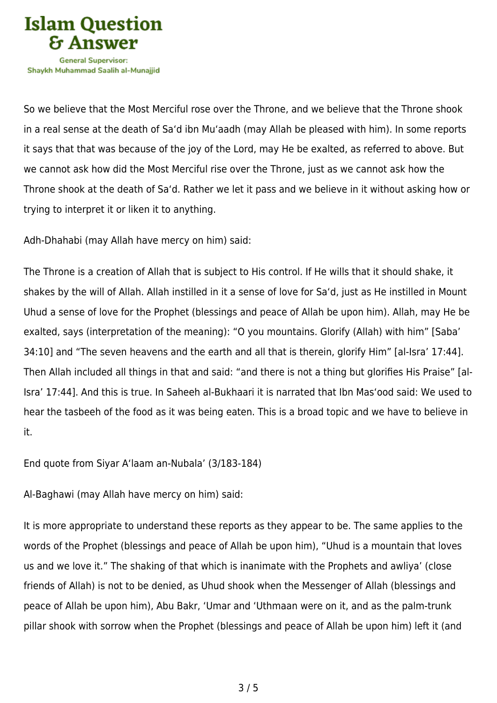

So we believe that the Most Merciful rose over the Throne, and we believe that the Throne shook in a real sense at the death of Sa'd ibn Mu'aadh (may Allah be pleased with him). In some reports it says that that was because of the joy of the Lord, may He be exalted, as referred to above. But we cannot ask how did the Most Merciful rise over the Throne, just as we cannot ask how the Throne shook at the death of Sa'd. Rather we let it pass and we believe in it without asking how or trying to interpret it or liken it to anything.

Adh-Dhahabi (may Allah have mercy on him) said:

The Throne is a creation of Allah that is subject to His control. If He wills that it should shake, it shakes by the will of Allah. Allah instilled in it a sense of love for Sa'd, just as He instilled in Mount Uhud a sense of love for the Prophet (blessings and peace of Allah be upon him). Allah, may He be exalted, says (interpretation of the meaning): "O you mountains. Glorify (Allah) with him" [Saba' 34:10] and "The seven heavens and the earth and all that is therein, glorify Him" [al-Isra' 17:44]. Then Allah included all things in that and said: "and there is not a thing but glorifies His Praise" [al-Isra' 17:44]. And this is true. In Saheeh al-Bukhaari it is narrated that Ibn Mas'ood said: We used to hear the tasbeeh of the food as it was being eaten. This is a broad topic and we have to believe in it.

End quote from Siyar A'laam an-Nubala' (3/183-184)

Al-Baghawi (may Allah have mercy on him) said:

It is more appropriate to understand these reports as they appear to be. The same applies to the words of the Prophet (blessings and peace of Allah be upon him), "Uhud is a mountain that loves us and we love it." The shaking of that which is inanimate with the Prophets and awliya' (close friends of Allah) is not to be denied, as Uhud shook when the Messenger of Allah (blessings and peace of Allah be upon him), Abu Bakr, 'Umar and 'Uthmaan were on it, and as the palm-trunk pillar shook with sorrow when the Prophet (blessings and peace of Allah be upon him) left it (and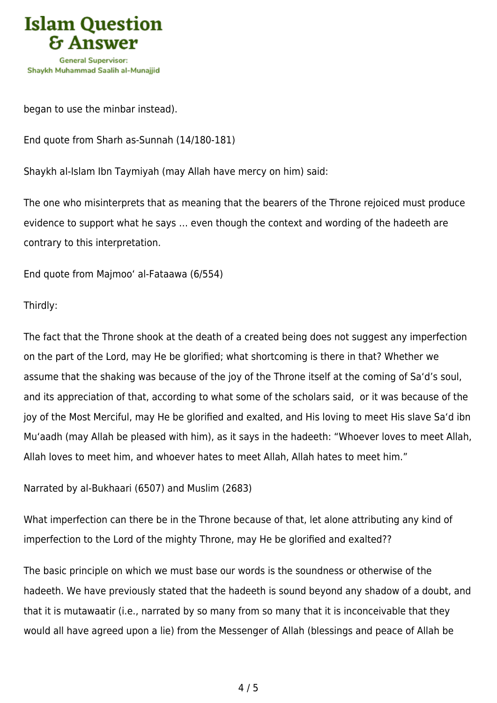

began to use the minbar instead).

End quote from Sharh as-Sunnah (14/180-181)

Shaykh al-Islam Ibn Taymiyah (may Allah have mercy on him) said:

The one who misinterprets that as meaning that the bearers of the Throne rejoiced must produce evidence to support what he says … even though the context and wording of the hadeeth are contrary to this interpretation.

End quote from Majmoo' al-Fataawa (6/554)

Thirdly:

The fact that the Throne shook at the death of a created being does not suggest any imperfection on the part of the Lord, may He be glorified; what shortcoming is there in that? Whether we assume that the shaking was because of the joy of the Throne itself at the coming of Sa'd's soul, and its appreciation of that, according to what some of the scholars said, or it was because of the joy of the Most Merciful, may He be glorified and exalted, and His loving to meet His slave Sa'd ibn Mu'aadh (may Allah be pleased with him), as it says in the hadeeth: "Whoever loves to meet Allah, Allah loves to meet him, and whoever hates to meet Allah, Allah hates to meet him."

Narrated by al-Bukhaari (6507) and Muslim (2683)

What imperfection can there be in the Throne because of that, let alone attributing any kind of imperfection to the Lord of the mighty Throne, may He be glorified and exalted??

The basic principle on which we must base our words is the soundness or otherwise of the hadeeth. We have previously stated that the hadeeth is sound beyond any shadow of a doubt, and that it is mutawaatir (i.e., narrated by so many from so many that it is inconceivable that they would all have agreed upon a lie) from the Messenger of Allah (blessings and peace of Allah be